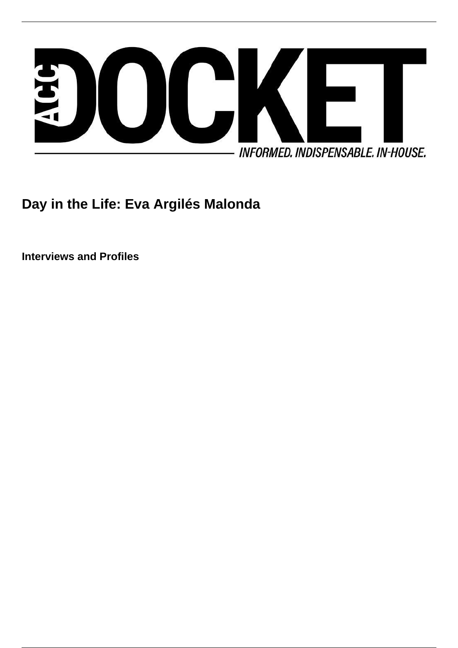

**Day in the Life: Eva Argilés Malonda**

**Interviews and Profiles**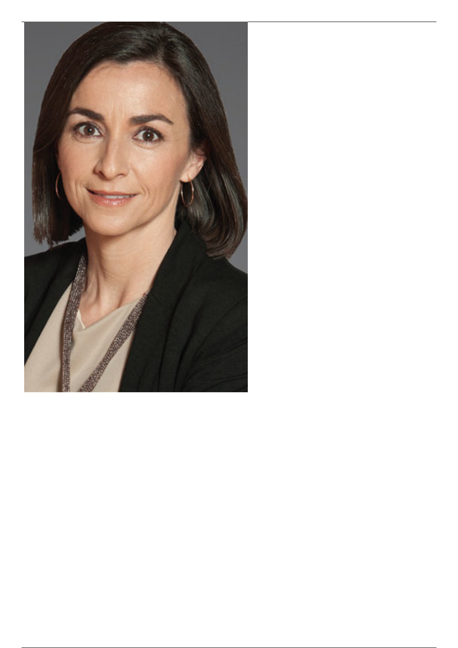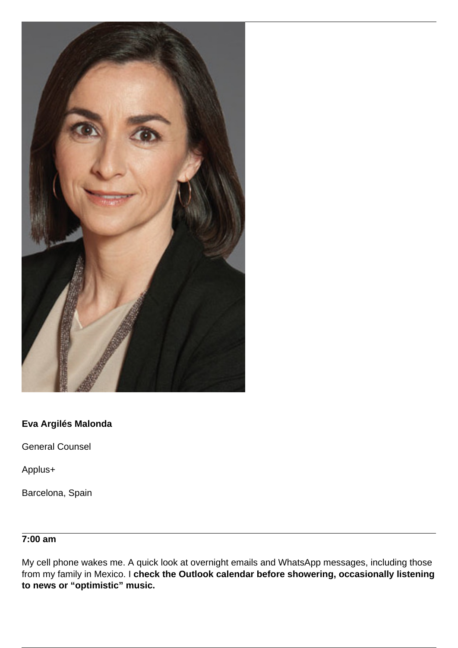

# **Eva Argilés Malonda**

General Counsel

Applus+

Barcelona, Spain

# **7:00 am**

My cell phone wakes me. A quick look at overnight emails and WhatsApp messages, including those from my family in Mexico. I **check the Outlook calendar before showering, occasionally listening to news or "optimistic" music.**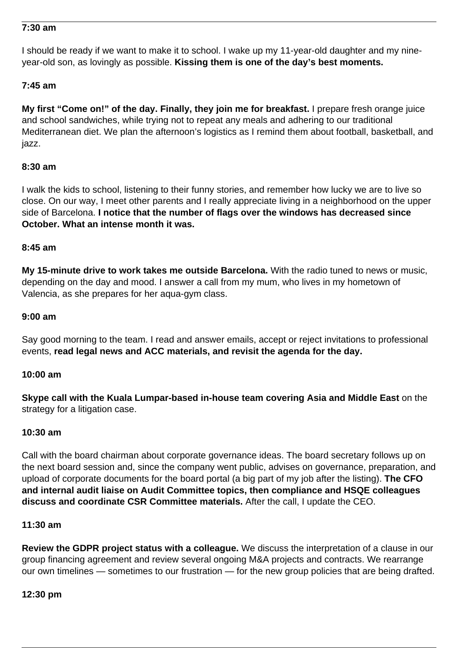## **7:30 am**

I should be ready if we want to make it to school. I wake up my 11-year-old daughter and my nineyear-old son, as lovingly as possible. **Kissing them is one of the day's best moments.**

## **7:45 am**

**My first "Come on!" of the day. Finally, they join me for breakfast.** I prepare fresh orange juice and school sandwiches, while trying not to repeat any meals and adhering to our traditional Mediterranean diet. We plan the afternoon's logistics as I remind them about football, basketball, and jazz.

#### **8:30 am**

I walk the kids to school, listening to their funny stories, and remember how lucky we are to live so close. On our way, I meet other parents and I really appreciate living in a neighborhood on the upper side of Barcelona. **I notice that the number of flags over the windows has decreased since October. What an intense month it was.**

#### **8:45 am**

**My 15-minute drive to work takes me outside Barcelona.** With the radio tuned to news or music, depending on the day and mood. I answer a call from my mum, who lives in my hometown of Valencia, as she prepares for her aqua-gym class.

#### **9:00 am**

Say good morning to the team. I read and answer emails, accept or reject invitations to professional events, **read legal news and ACC materials, and revisit the agenda for the day.**

#### **10:00 am**

**Skype call with the Kuala Lumpar-based in-house team covering Asia and Middle East** on the strategy for a litigation case.

#### **10:30 am**

Call with the board chairman about corporate governance ideas. The board secretary follows up on the next board session and, since the company went public, advises on governance, preparation, and upload of corporate documents for the board portal (a big part of my job after the listing). **The CFO and internal audit liaise on Audit Committee topics, then compliance and HSQE colleagues discuss and coordinate CSR Committee materials.** After the call, I update the CEO.

#### **11:30 am**

**Review the GDPR project status with a colleague.** We discuss the interpretation of a clause in our group financing agreement and review several ongoing M&A projects and contracts. We rearrange our own timelines — sometimes to our frustration — for the new group policies that are being drafted.

#### **12:30 pm**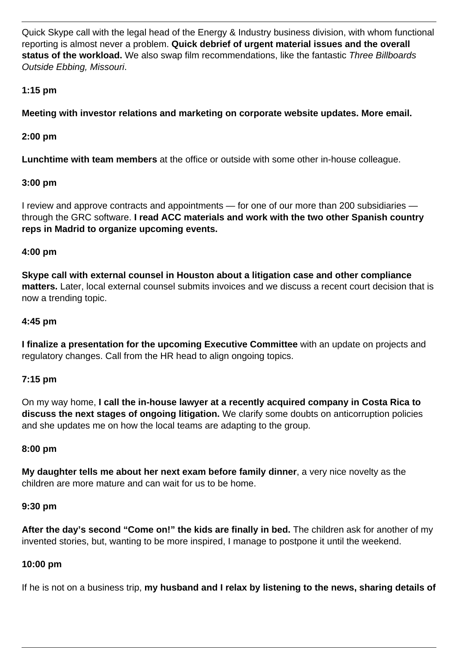Quick Skype call with the legal head of the Energy & Industry business division, with whom functional reporting is almost never a problem. **Quick debrief of urgent material issues and the overall status of the workload.** We also swap film recommendations, like the fantastic Three Billboards Outside Ebbing, Missouri.

# **1:15 pm**

**Meeting with investor relations and marketing on corporate website updates. More email.**

# **2:00 pm**

**Lunchtime with team members** at the office or outside with some other in-house colleague.

# **3:00 pm**

I review and approve contracts and appointments — for one of our more than 200 subsidiaries through the GRC software. **I read ACC materials and work with the two other Spanish country reps in Madrid to organize upcoming events.**

# **4:00 pm**

**Skype call with external counsel in Houston about a litigation case and other compliance matters.** Later, local external counsel submits invoices and we discuss a recent court decision that is now a trending topic.

# **4:45 pm**

**I finalize a presentation for the upcoming Executive Committee** with an update on projects and regulatory changes. Call from the HR head to align ongoing topics.

# **7:15 pm**

On my way home, **I call the in-house lawyer at a recently acquired company in Costa Rica to discuss the next stages of ongoing litigation.** We clarify some doubts on anticorruption policies and she updates me on how the local teams are adapting to the group.

# **8:00 pm**

**My daughter tells me about her next exam before family dinner**, a very nice novelty as the children are more mature and can wait for us to be home.

# **9:30 pm**

**After the day's second "Come on!" the kids are finally in bed.** The children ask for another of my invented stories, but, wanting to be more inspired, I manage to postpone it until the weekend.

# **10:00 pm**

If he is not on a business trip, **my husband and I relax by listening to the news, sharing details of**